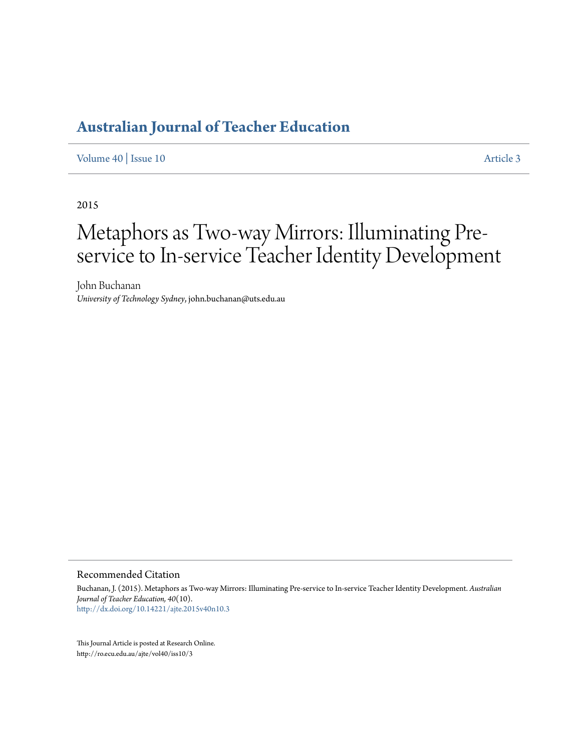[Volume 40](http://ro.ecu.edu.au/ajte/vol40) | [Issue 10](http://ro.ecu.edu.au/ajte/vol40/iss10) [Article 3](http://ro.ecu.edu.au/ajte/vol40/iss10/3)

2015

# Metaphors as Two-way Mirrors: Illuminating Preservice to In-service Teacher Identity Development

John Buchanan *University of Technology Sydney*, john.buchanan@uts.edu.au

Recommended Citation

Buchanan, J. (2015). Metaphors as Two-way Mirrors: Illuminating Pre-service to In-service Teacher Identity Development. *Australian Journal of Teacher Education, 40*(10). <http://dx.doi.org/10.14221/ajte.2015v40n10.3>

This Journal Article is posted at Research Online. http://ro.ecu.edu.au/ajte/vol40/iss10/3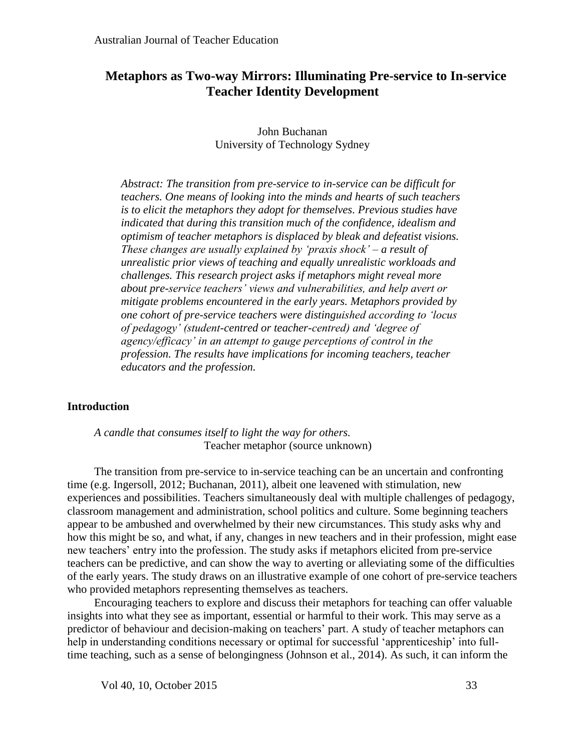# **Metaphors as Two-way Mirrors: Illuminating Pre-service to In-service Teacher Identity Development**

John Buchanan University of Technology Sydney

*Abstract: The transition from pre-service to in-service can be difficult for teachers. One means of looking into the minds and hearts of such teachers is to elicit the metaphors they adopt for themselves. Previous studies have indicated that during this transition much of the confidence, idealism and optimism of teacher metaphors is displaced by bleak and defeatist visions. These changes are usually explained by 'praxis shock' – a result of unrealistic prior views of teaching and equally unrealistic workloads and challenges. This research project asks if metaphors might reveal more about pre-service teachers' views and vulnerabilities, and help avert or mitigate problems encountered in the early years. Metaphors provided by one cohort of pre-service teachers were distinguished according to 'locus of pedagogy' (student-centred or teacher-centred) and 'degree of agency/efficacy' in an attempt to gauge perceptions of control in the profession. The results have implications for incoming teachers, teacher educators and the profession.*

## **Introduction**

*A candle that consumes itself to light the way for others.* Teacher metaphor (source unknown)

The transition from pre-service to in-service teaching can be an uncertain and confronting time (e.g. Ingersoll, 2012; Buchanan, 2011), albeit one leavened with stimulation, new experiences and possibilities. Teachers simultaneously deal with multiple challenges of pedagogy, classroom management and administration, school politics and culture. Some beginning teachers appear to be ambushed and overwhelmed by their new circumstances. This study asks why and how this might be so, and what, if any, changes in new teachers and in their profession, might ease new teachers' entry into the profession. The study asks if metaphors elicited from pre-service teachers can be predictive, and can show the way to averting or alleviating some of the difficulties of the early years. The study draws on an illustrative example of one cohort of pre-service teachers who provided metaphors representing themselves as teachers.

Encouraging teachers to explore and discuss their metaphors for teaching can offer valuable insights into what they see as important, essential or harmful to their work. This may serve as a predictor of behaviour and decision-making on teachers' part. A study of teacher metaphors can help in understanding conditions necessary or optimal for successful 'apprenticeship' into fulltime teaching, such as a sense of belongingness (Johnson et al., 2014). As such, it can inform the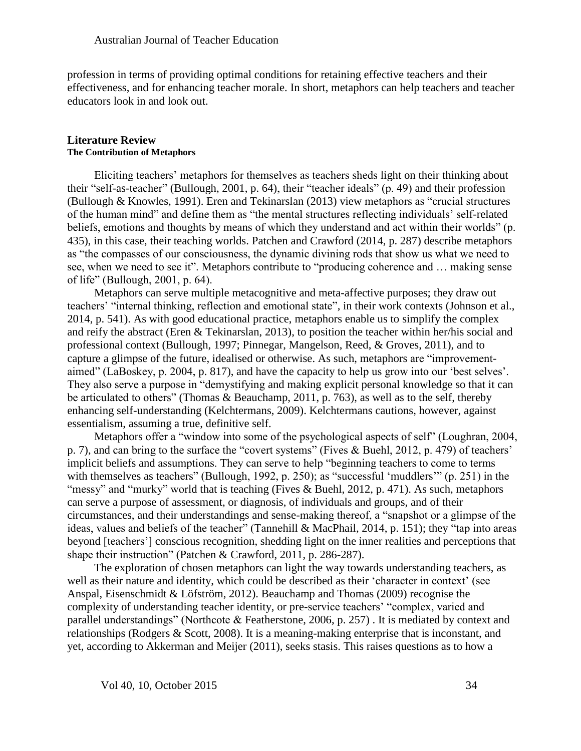profession in terms of providing optimal conditions for retaining effective teachers and their effectiveness, and for enhancing teacher morale. In short, metaphors can help teachers and teacher educators look in and look out.

#### **Literature Review The Contribution of Metaphors**

Eliciting teachers' metaphors for themselves as teachers sheds light on their thinking about their "self-as-teacher" (Bullough, 2001, p. 64), their "teacher ideals" (p. 49) and their profession (Bullough & Knowles, 1991). Eren and Tekinarslan (2013) view metaphors as "crucial structures of the human mind" and define them as "the mental structures reflecting individuals' self-related beliefs, emotions and thoughts by means of which they understand and act within their worlds" (p. 435), in this case, their teaching worlds. Patchen and Crawford (2014, p. 287) describe metaphors as "the compasses of our consciousness, the dynamic divining rods that show us what we need to see, when we need to see it". Metaphors contribute to "producing coherence and … making sense of life" (Bullough, 2001, p. 64).

Metaphors can serve multiple metacognitive and meta-affective purposes; they draw out teachers' "internal thinking, reflection and emotional state", in their work contexts (Johnson et al., 2014, p. 541). As with good educational practice, metaphors enable us to simplify the complex and reify the abstract (Eren & Tekinarslan, 2013), to position the teacher within her/his social and professional context (Bullough, 1997; Pinnegar, Mangelson, Reed, & Groves, 2011), and to capture a glimpse of the future, idealised or otherwise. As such, metaphors are "improvementaimed" (LaBoskey, p. 2004, p. 817), and have the capacity to help us grow into our 'best selves'. They also serve a purpose in "demystifying and making explicit personal knowledge so that it can be articulated to others" (Thomas & Beauchamp, 2011, p. 763), as well as to the self, thereby enhancing self-understanding (Kelchtermans, 2009). Kelchtermans cautions, however, against essentialism, assuming a true, definitive self.

Metaphors offer a "window into some of the psychological aspects of self" (Loughran, 2004, p. 7), and can bring to the surface the "covert systems" (Fives & Buehl, 2012, p. 479) of teachers' implicit beliefs and assumptions. They can serve to help "beginning teachers to come to terms with themselves as teachers" (Bullough, 1992, p. 250); as "successful 'muddlers'" (p. 251) in the "messy" and "murky" world that is teaching (Fives & Buehl, 2012, p. 471). As such, metaphors can serve a purpose of assessment, or diagnosis, of individuals and groups, and of their circumstances, and their understandings and sense-making thereof, a "snapshot or a glimpse of the ideas, values and beliefs of the teacher" (Tannehill & MacPhail, 2014, p. 151); they "tap into areas beyond [teachers'] conscious recognition, shedding light on the inner realities and perceptions that shape their instruction" (Patchen & Crawford, 2011, p. 286-287).

The exploration of chosen metaphors can light the way towards understanding teachers, as well as their nature and identity, which could be described as their 'character in context' (see Anspal, Eisenschmidt & Löfström, 2012). Beauchamp and Thomas (2009) recognise the complexity of understanding teacher identity, or pre-service teachers' "complex, varied and parallel understandings" (Northcote & Featherstone, 2006, p. 257) . It is mediated by context and relationships (Rodgers & Scott, 2008). It is a meaning-making enterprise that is inconstant, and yet, according to Akkerman and Meijer (2011), seeks stasis. This raises questions as to how a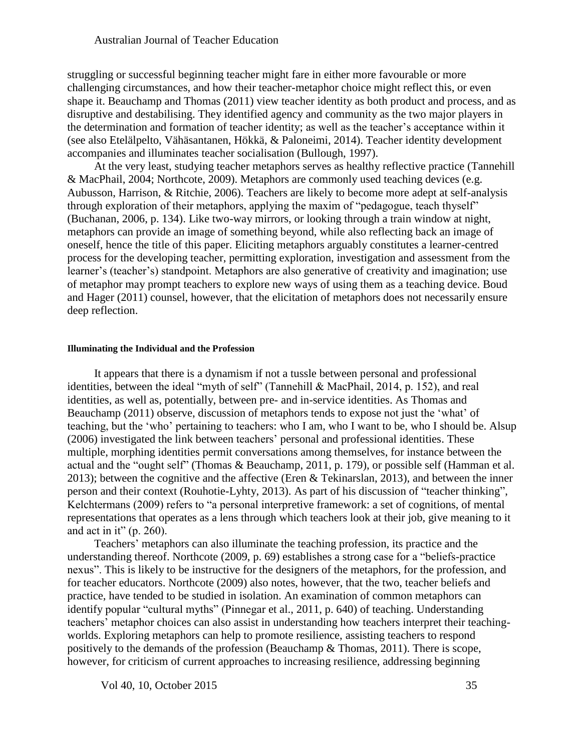struggling or successful beginning teacher might fare in either more favourable or more challenging circumstances, and how their teacher-metaphor choice might reflect this, or even shape it. Beauchamp and Thomas (2011) view teacher identity as both product and process, and as disruptive and destabilising. They identified agency and community as the two major players in the determination and formation of teacher identity; as well as the teacher's acceptance within it (see also Etelälpelto, Vähäsantanen, Hökkä, & Paloneimi, 2014). Teacher identity development accompanies and illuminates teacher socialisation (Bullough, 1997).

At the very least, studying teacher metaphors serves as healthy reflective practice (Tannehill & MacPhail, 2004; Northcote, 2009). Metaphors are commonly used teaching devices (e.g. Aubusson, Harrison, & Ritchie, 2006). Teachers are likely to become more adept at self-analysis through exploration of their metaphors, applying the maxim of "pedagogue, teach thyself" (Buchanan, 2006, p. 134). Like two-way mirrors, or looking through a train window at night, metaphors can provide an image of something beyond, while also reflecting back an image of oneself, hence the title of this paper. Eliciting metaphors arguably constitutes a learner-centred process for the developing teacher, permitting exploration, investigation and assessment from the learner's (teacher's) standpoint. Metaphors are also generative of creativity and imagination; use of metaphor may prompt teachers to explore new ways of using them as a teaching device. Boud and Hager (2011) counsel, however, that the elicitation of metaphors does not necessarily ensure deep reflection.

#### **Illuminating the Individual and the Profession**

It appears that there is a dynamism if not a tussle between personal and professional identities, between the ideal "myth of self" (Tannehill & MacPhail, 2014, p. 152), and real identities, as well as, potentially, between pre- and in-service identities. As Thomas and Beauchamp (2011) observe, discussion of metaphors tends to expose not just the 'what' of teaching, but the 'who' pertaining to teachers: who I am, who I want to be, who I should be. Alsup (2006) investigated the link between teachers' personal and professional identities. These multiple, morphing identities permit conversations among themselves, for instance between the actual and the "ought self" (Thomas & Beauchamp, 2011, p. 179), or possible self (Hamman et al. 2013); between the cognitive and the affective (Eren & Tekinarslan, 2013), and between the inner person and their context (Rouhotie-Lyhty, 2013). As part of his discussion of "teacher thinking", Kelchtermans (2009) refers to "a personal interpretive framework: a set of cognitions, of mental representations that operates as a lens through which teachers look at their job, give meaning to it and act in it"  $(p. 260)$ .

Teachers' metaphors can also illuminate the teaching profession, its practice and the understanding thereof. Northcote (2009, p. 69) establishes a strong case for a "beliefs-practice nexus". This is likely to be instructive for the designers of the metaphors, for the profession, and for teacher educators. Northcote (2009) also notes, however, that the two, teacher beliefs and practice, have tended to be studied in isolation. An examination of common metaphors can identify popular "cultural myths" (Pinnegar et al., 2011, p. 640) of teaching. Understanding teachers' metaphor choices can also assist in understanding how teachers interpret their teachingworlds. Exploring metaphors can help to promote resilience, assisting teachers to respond positively to the demands of the profession (Beauchamp & Thomas, 2011). There is scope, however, for criticism of current approaches to increasing resilience, addressing beginning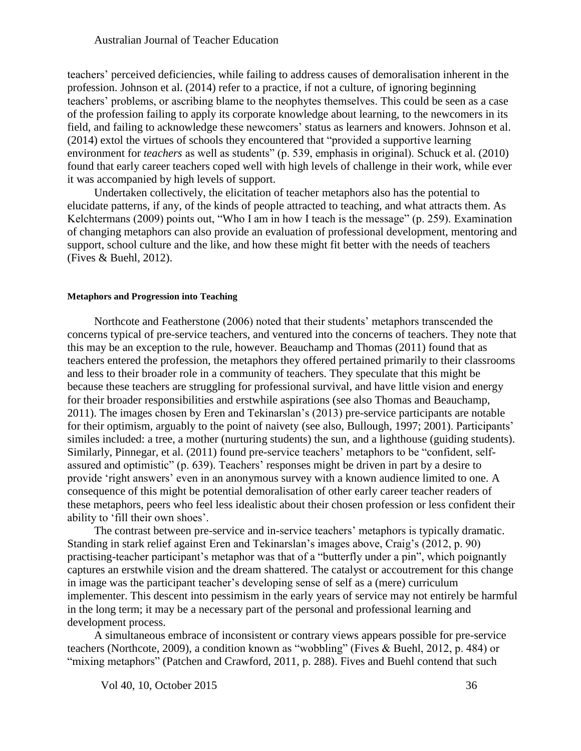teachers' perceived deficiencies, while failing to address causes of demoralisation inherent in the profession. Johnson et al. (2014) refer to a practice, if not a culture, of ignoring beginning teachers' problems, or ascribing blame to the neophytes themselves. This could be seen as a case of the profession failing to apply its corporate knowledge about learning, to the newcomers in its field, and failing to acknowledge these newcomers' status as learners and knowers. Johnson et al. (2014) extol the virtues of schools they encountered that "provided a supportive learning environment for *teachers* as well as students" (p. 539, emphasis in original). Schuck et al. (2010) found that early career teachers coped well with high levels of challenge in their work, while ever it was accompanied by high levels of support.

Undertaken collectively, the elicitation of teacher metaphors also has the potential to elucidate patterns, if any, of the kinds of people attracted to teaching, and what attracts them. As Kelchtermans (2009) points out, "Who I am in how I teach is the message" (p. 259). Examination of changing metaphors can also provide an evaluation of professional development, mentoring and support, school culture and the like, and how these might fit better with the needs of teachers (Fives & Buehl, 2012).

#### **Metaphors and Progression into Teaching**

Northcote and Featherstone (2006) noted that their students' metaphors transcended the concerns typical of pre-service teachers, and ventured into the concerns of teachers. They note that this may be an exception to the rule, however. Beauchamp and Thomas (2011) found that as teachers entered the profession, the metaphors they offered pertained primarily to their classrooms and less to their broader role in a community of teachers. They speculate that this might be because these teachers are struggling for professional survival, and have little vision and energy for their broader responsibilities and erstwhile aspirations (see also Thomas and Beauchamp, 2011). The images chosen by Eren and Tekinarslan's (2013) pre-service participants are notable for their optimism, arguably to the point of naivety (see also, Bullough, 1997; 2001). Participants' similes included: a tree, a mother (nurturing students) the sun, and a lighthouse (guiding students). Similarly, Pinnegar, et al. (2011) found pre-service teachers' metaphors to be "confident, selfassured and optimistic" (p. 639). Teachers' responses might be driven in part by a desire to provide 'right answers' even in an anonymous survey with a known audience limited to one. A consequence of this might be potential demoralisation of other early career teacher readers of these metaphors, peers who feel less idealistic about their chosen profession or less confident their ability to 'fill their own shoes'.

The contrast between pre-service and in-service teachers' metaphors is typically dramatic. Standing in stark relief against Eren and Tekinarslan's images above, Craig's (2012, p. 90) practising-teacher participant's metaphor was that of a "butterfly under a pin", which poignantly captures an erstwhile vision and the dream shattered. The catalyst or accoutrement for this change in image was the participant teacher's developing sense of self as a (mere) curriculum implementer. This descent into pessimism in the early years of service may not entirely be harmful in the long term; it may be a necessary part of the personal and professional learning and development process.

A simultaneous embrace of inconsistent or contrary views appears possible for pre-service teachers (Northcote, 2009), a condition known as "wobbling" (Fives & Buehl, 2012, p. 484) or "mixing metaphors" (Patchen and Crawford, 2011, p. 288). Fives and Buehl contend that such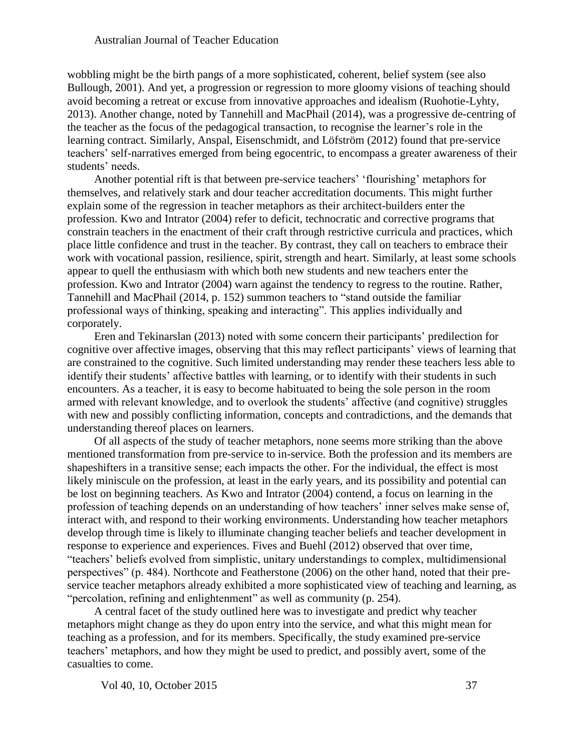wobbling might be the birth pangs of a more sophisticated, coherent, belief system (see also Bullough, 2001). And yet, a progression or regression to more gloomy visions of teaching should avoid becoming a retreat or excuse from innovative approaches and idealism (Ruohotie-Lyhty, 2013). Another change, noted by Tannehill and MacPhail (2014), was a progressive de-centring of the teacher as the focus of the pedagogical transaction, to recognise the learner's role in the learning contract. Similarly, Anspal, Eisenschmidt, and Löfström (2012) found that pre-service teachers' self-narratives emerged from being egocentric, to encompass a greater awareness of their students' needs.

Another potential rift is that between pre-service teachers' 'flourishing' metaphors for themselves, and relatively stark and dour teacher accreditation documents. This might further explain some of the regression in teacher metaphors as their architect-builders enter the profession. Kwo and Intrator (2004) refer to deficit, technocratic and corrective programs that constrain teachers in the enactment of their craft through restrictive curricula and practices, which place little confidence and trust in the teacher. By contrast, they call on teachers to embrace their work with vocational passion, resilience, spirit, strength and heart. Similarly, at least some schools appear to quell the enthusiasm with which both new students and new teachers enter the profession. Kwo and Intrator (2004) warn against the tendency to regress to the routine. Rather, Tannehill and MacPhail (2014, p. 152) summon teachers to "stand outside the familiar professional ways of thinking, speaking and interacting". This applies individually and corporately.

Eren and Tekinarslan (2013) noted with some concern their participants' predilection for cognitive over affective images, observing that this may reflect participants' views of learning that are constrained to the cognitive. Such limited understanding may render these teachers less able to identify their students' affective battles with learning, or to identify with their students in such encounters. As a teacher, it is easy to become habituated to being the sole person in the room armed with relevant knowledge, and to overlook the students' affective (and cognitive) struggles with new and possibly conflicting information, concepts and contradictions, and the demands that understanding thereof places on learners.

Of all aspects of the study of teacher metaphors, none seems more striking than the above mentioned transformation from pre-service to in-service. Both the profession and its members are shapeshifters in a transitive sense; each impacts the other. For the individual, the effect is most likely miniscule on the profession, at least in the early years, and its possibility and potential can be lost on beginning teachers. As Kwo and Intrator (2004) contend, a focus on learning in the profession of teaching depends on an understanding of how teachers' inner selves make sense of, interact with, and respond to their working environments. Understanding how teacher metaphors develop through time is likely to illuminate changing teacher beliefs and teacher development in response to experience and experiences. Fives and Buehl (2012) observed that over time, "teachers' beliefs evolved from simplistic, unitary understandings to complex, multidimensional perspectives" (p. 484). Northcote and Featherstone (2006) on the other hand, noted that their preservice teacher metaphors already exhibited a more sophisticated view of teaching and learning, as "percolation, refining and enlightenment" as well as community (p. 254).

A central facet of the study outlined here was to investigate and predict why teacher metaphors might change as they do upon entry into the service, and what this might mean for teaching as a profession, and for its members. Specifically, the study examined pre-service teachers' metaphors, and how they might be used to predict, and possibly avert, some of the casualties to come.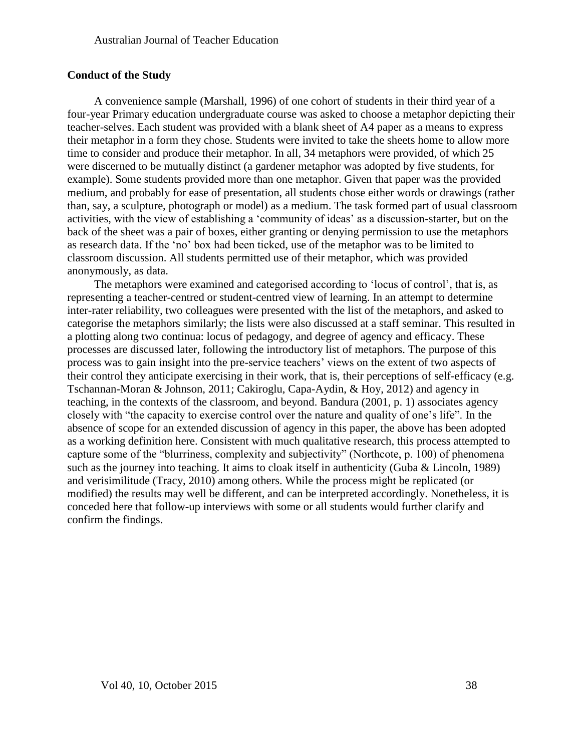#### **Conduct of the Study**

A convenience sample (Marshall, 1996) of one cohort of students in their third year of a four-year Primary education undergraduate course was asked to choose a metaphor depicting their teacher-selves. Each student was provided with a blank sheet of A4 paper as a means to express their metaphor in a form they chose. Students were invited to take the sheets home to allow more time to consider and produce their metaphor. In all, 34 metaphors were provided, of which 25 were discerned to be mutually distinct (a gardener metaphor was adopted by five students, for example). Some students provided more than one metaphor. Given that paper was the provided medium, and probably for ease of presentation, all students chose either words or drawings (rather than, say, a sculpture, photograph or model) as a medium. The task formed part of usual classroom activities, with the view of establishing a 'community of ideas' as a discussion-starter, but on the back of the sheet was a pair of boxes, either granting or denying permission to use the metaphors as research data. If the 'no' box had been ticked, use of the metaphor was to be limited to classroom discussion. All students permitted use of their metaphor, which was provided anonymously, as data.

The metaphors were examined and categorised according to 'locus of control', that is, as representing a teacher-centred or student-centred view of learning. In an attempt to determine inter-rater reliability, two colleagues were presented with the list of the metaphors, and asked to categorise the metaphors similarly; the lists were also discussed at a staff seminar. This resulted in a plotting along two continua: locus of pedagogy, and degree of agency and efficacy. These processes are discussed later, following the introductory list of metaphors. The purpose of this process was to gain insight into the pre-service teachers' views on the extent of two aspects of their control they anticipate exercising in their work, that is, their perceptions of self-efficacy (e.g. Tschannan-Moran & Johnson, 2011; Cakiroglu, Capa-Aydin, & Hoy, 2012) and agency in teaching, in the contexts of the classroom, and beyond. Bandura (2001, p. 1) associates agency closely with "the capacity to exercise control over the nature and quality of one's life". In the absence of scope for an extended discussion of agency in this paper, the above has been adopted as a working definition here. Consistent with much qualitative research, this process attempted to capture some of the "blurriness, complexity and subjectivity" (Northcote, p. 100) of phenomena such as the journey into teaching. It aims to cloak itself in authenticity (Guba & Lincoln, 1989) and verisimilitude (Tracy, 2010) among others. While the process might be replicated (or modified) the results may well be different, and can be interpreted accordingly. Nonetheless, it is conceded here that follow-up interviews with some or all students would further clarify and confirm the findings.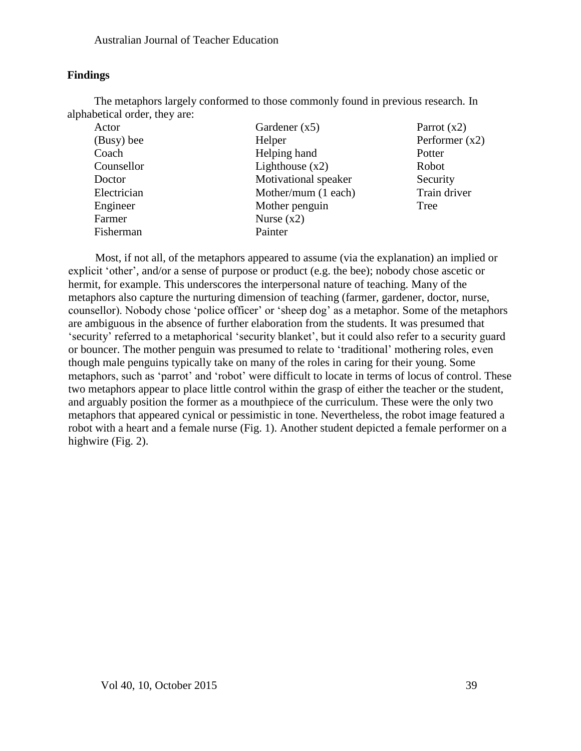### **Findings**

The metaphors largely conformed to those commonly found in previous research. In alphabetical order, they are:

| Actor       | Gardener $(x5)$      | Parrot $(x2)$    |
|-------------|----------------------|------------------|
| (Busy) bee  | Helper               | Performer $(x2)$ |
| Coach       | Helping hand         | Potter           |
| Counsellor  | Lighthouse $(x2)$    | Robot            |
| Doctor      | Motivational speaker | Security         |
| Electrician | Mother/mum (1 each)  | Train driver     |
| Engineer    | Mother penguin       | Tree             |
| Farmer      | Nurse $(x2)$         |                  |
| Fisherman   | Painter              |                  |

Most, if not all, of the metaphors appeared to assume (via the explanation) an implied or explicit 'other', and/or a sense of purpose or product (e.g. the bee); nobody chose ascetic or hermit, for example. This underscores the interpersonal nature of teaching. Many of the metaphors also capture the nurturing dimension of teaching (farmer, gardener, doctor, nurse, counsellor). Nobody chose 'police officer' or 'sheep dog' as a metaphor. Some of the metaphors are ambiguous in the absence of further elaboration from the students. It was presumed that 'security' referred to a metaphorical 'security blanket', but it could also refer to a security guard or bouncer. The mother penguin was presumed to relate to 'traditional' mothering roles, even though male penguins typically take on many of the roles in caring for their young. Some metaphors, such as 'parrot' and 'robot' were difficult to locate in terms of locus of control. These two metaphors appear to place little control within the grasp of either the teacher or the student, and arguably position the former as a mouthpiece of the curriculum. These were the only two metaphors that appeared cynical or pessimistic in tone. Nevertheless, the robot image featured a robot with a heart and a female nurse (Fig. 1). Another student depicted a female performer on a highwire (Fig. 2).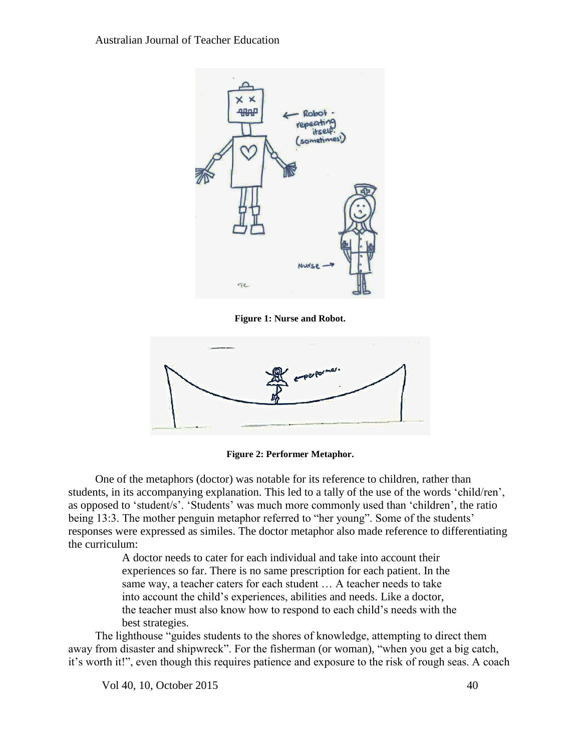

**Figure 1: Nurse and Robot.**



**Figure 2: Performer Metaphor.**

One of the metaphors (doctor) was notable for its reference to children, rather than students, in its accompanying explanation. This led to a tally of the use of the words 'child/ren', as opposed to 'student/s'. 'Students' was much more commonly used than 'children', the ratio being 13:3. The mother penguin metaphor referred to "her young". Some of the students' responses were expressed as similes. The doctor metaphor also made reference to differentiating the curriculum:

> A doctor needs to cater for each individual and take into account their experiences so far. There is no same prescription for each patient. In the same way, a teacher caters for each student … A teacher needs to take into account the child's experiences, abilities and needs. Like a doctor, the teacher must also know how to respond to each child's needs with the best strategies.

The lighthouse "guides students to the shores of knowledge, attempting to direct them away from disaster and shipwreck". For the fisherman (or woman), "when you get a big catch, it's worth it!", even though this requires patience and exposure to the risk of rough seas. A coach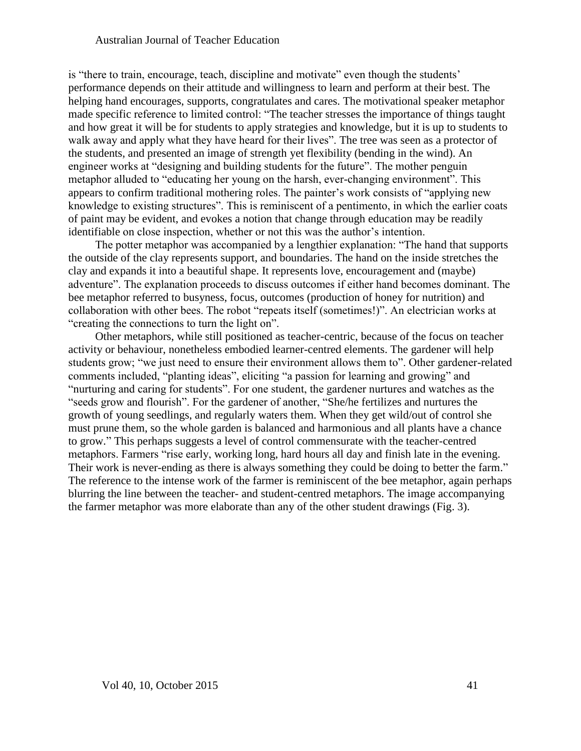is "there to train, encourage, teach, discipline and motivate" even though the students' performance depends on their attitude and willingness to learn and perform at their best. The helping hand encourages, supports, congratulates and cares. The motivational speaker metaphor made specific reference to limited control: "The teacher stresses the importance of things taught and how great it will be for students to apply strategies and knowledge, but it is up to students to walk away and apply what they have heard for their lives". The tree was seen as a protector of the students, and presented an image of strength yet flexibility (bending in the wind). An engineer works at "designing and building students for the future". The mother penguin metaphor alluded to "educating her young on the harsh, ever-changing environment". This appears to confirm traditional mothering roles. The painter's work consists of "applying new knowledge to existing structures". This is reminiscent of a pentimento, in which the earlier coats of paint may be evident, and evokes a notion that change through education may be readily identifiable on close inspection, whether or not this was the author's intention.

The potter metaphor was accompanied by a lengthier explanation: "The hand that supports the outside of the clay represents support, and boundaries. The hand on the inside stretches the clay and expands it into a beautiful shape. It represents love, encouragement and (maybe) adventure". The explanation proceeds to discuss outcomes if either hand becomes dominant. The bee metaphor referred to busyness, focus, outcomes (production of honey for nutrition) and collaboration with other bees. The robot "repeats itself (sometimes!)". An electrician works at "creating the connections to turn the light on".

Other metaphors, while still positioned as teacher-centric, because of the focus on teacher activity or behaviour, nonetheless embodied learner-centred elements. The gardener will help students grow; "we just need to ensure their environment allows them to". Other gardener-related comments included, "planting ideas", eliciting "a passion for learning and growing" and "nurturing and caring for students". For one student, the gardener nurtures and watches as the "seeds grow and flourish". For the gardener of another, "She/he fertilizes and nurtures the growth of young seedlings, and regularly waters them. When they get wild/out of control she must prune them, so the whole garden is balanced and harmonious and all plants have a chance to grow." This perhaps suggests a level of control commensurate with the teacher-centred metaphors. Farmers "rise early, working long, hard hours all day and finish late in the evening. Their work is never-ending as there is always something they could be doing to better the farm." The reference to the intense work of the farmer is reminiscent of the bee metaphor, again perhaps blurring the line between the teacher- and student-centred metaphors. The image accompanying the farmer metaphor was more elaborate than any of the other student drawings (Fig. 3).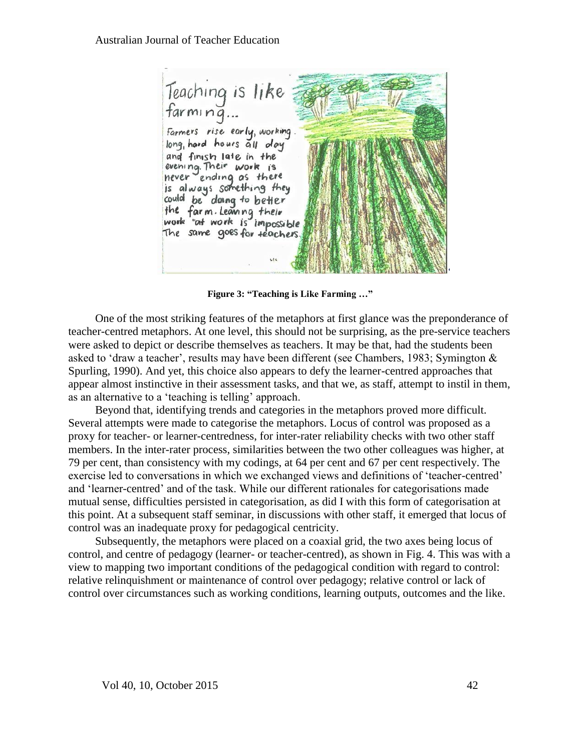Teaching is like<br>farming... Farmers rise early, working long hard hours all day and finish late in the evening. Their work is never ending as there is always something they could be doing to better the farm Learing their<br>work "at work is impossible The same goes for teachers.

**Figure 3: "Teaching is Like Farming …"**

One of the most striking features of the metaphors at first glance was the preponderance of teacher-centred metaphors. At one level, this should not be surprising, as the pre-service teachers were asked to depict or describe themselves as teachers. It may be that, had the students been asked to 'draw a teacher', results may have been different (see Chambers, 1983; Symington & Spurling, 1990). And yet, this choice also appears to defy the learner-centred approaches that appear almost instinctive in their assessment tasks, and that we, as staff, attempt to instil in them, as an alternative to a 'teaching is telling' approach.

Beyond that, identifying trends and categories in the metaphors proved more difficult. Several attempts were made to categorise the metaphors. Locus of control was proposed as a proxy for teacher- or learner-centredness, for inter-rater reliability checks with two other staff members. In the inter-rater process, similarities between the two other colleagues was higher, at 79 per cent, than consistency with my codings, at 64 per cent and 67 per cent respectively. The exercise led to conversations in which we exchanged views and definitions of 'teacher-centred' and 'learner-centred' and of the task. While our different rationales for categorisations made mutual sense, difficulties persisted in categorisation, as did I with this form of categorisation at this point. At a subsequent staff seminar, in discussions with other staff, it emerged that locus of control was an inadequate proxy for pedagogical centricity.

Subsequently, the metaphors were placed on a coaxial grid, the two axes being locus of control, and centre of pedagogy (learner- or teacher-centred), as shown in Fig. 4. This was with a view to mapping two important conditions of the pedagogical condition with regard to control: relative relinquishment or maintenance of control over pedagogy; relative control or lack of control over circumstances such as working conditions, learning outputs, outcomes and the like.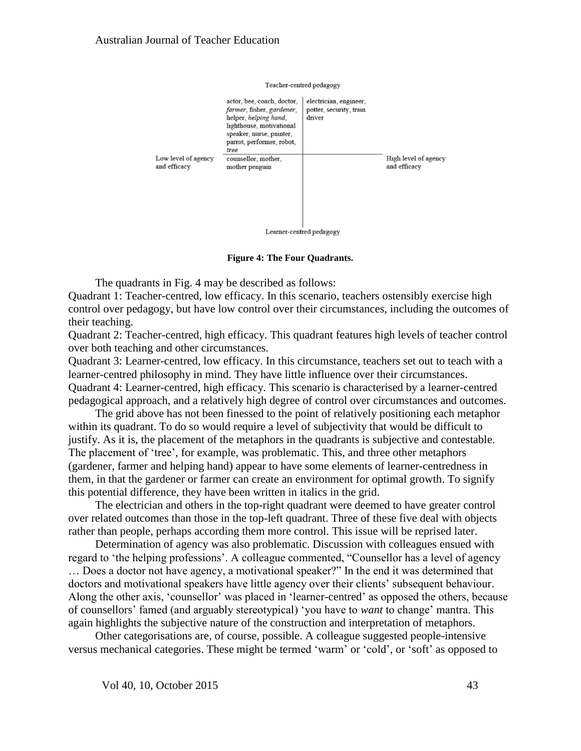

**Figure 4: The Four Quadrants.**

The quadrants in Fig. 4 may be described as follows: Quadrant 1: Teacher-centred, low efficacy. In this scenario, teachers ostensibly exercise high control over pedagogy, but have low control over their circumstances, including the outcomes of their teaching.

Quadrant 2: Teacher-centred, high efficacy. This quadrant features high levels of teacher control over both teaching and other circumstances.

Quadrant 3: Learner-centred, low efficacy. In this circumstance, teachers set out to teach with a learner-centred philosophy in mind. They have little influence over their circumstances. Quadrant 4: Learner-centred, high efficacy. This scenario is characterised by a learner-centred pedagogical approach, and a relatively high degree of control over circumstances and outcomes.

The grid above has not been finessed to the point of relatively positioning each metaphor within its quadrant. To do so would require a level of subjectivity that would be difficult to justify. As it is, the placement of the metaphors in the quadrants is subjective and contestable. The placement of 'tree', for example, was problematic. This, and three other metaphors (gardener, farmer and helping hand) appear to have some elements of learner-centredness in them, in that the gardener or farmer can create an environment for optimal growth. To signify this potential difference, they have been written in italics in the grid.

The electrician and others in the top-right quadrant were deemed to have greater control over related outcomes than those in the top-left quadrant. Three of these five deal with objects rather than people, perhaps according them more control. This issue will be reprised later.

Determination of agency was also problematic. Discussion with colleagues ensued with regard to 'the helping professions'. A colleague commented, "Counsellor has a level of agency … Does a doctor not have agency, a motivational speaker?" In the end it was determined that doctors and motivational speakers have little agency over their clients' subsequent behaviour. Along the other axis, 'counsellor' was placed in 'learner-centred' as opposed the others, because of counsellors' famed (and arguably stereotypical) 'you have to *want* to change' mantra. This again highlights the subjective nature of the construction and interpretation of metaphors.

Other categorisations are, of course, possible. A colleague suggested people-intensive versus mechanical categories. These might be termed 'warm' or 'cold', or 'soft' as opposed to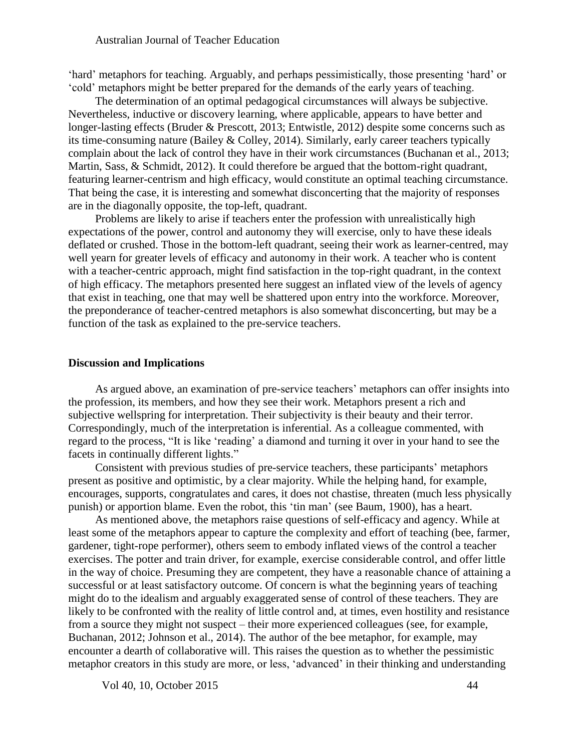'hard' metaphors for teaching. Arguably, and perhaps pessimistically, those presenting 'hard' or 'cold' metaphors might be better prepared for the demands of the early years of teaching.

The determination of an optimal pedagogical circumstances will always be subjective. Nevertheless, inductive or discovery learning, where applicable, appears to have better and longer-lasting effects (Bruder & Prescott, 2013; Entwistle, 2012) despite some concerns such as its time-consuming nature (Bailey & Colley, 2014). Similarly, early career teachers typically complain about the lack of control they have in their work circumstances (Buchanan et al., 2013; Martin, Sass, & Schmidt, 2012). It could therefore be argued that the bottom-right quadrant, featuring learner-centrism and high efficacy, would constitute an optimal teaching circumstance. That being the case, it is interesting and somewhat disconcerting that the majority of responses are in the diagonally opposite, the top-left, quadrant.

Problems are likely to arise if teachers enter the profession with unrealistically high expectations of the power, control and autonomy they will exercise, only to have these ideals deflated or crushed. Those in the bottom-left quadrant, seeing their work as learner-centred, may well yearn for greater levels of efficacy and autonomy in their work. A teacher who is content with a teacher-centric approach, might find satisfaction in the top-right quadrant, in the context of high efficacy. The metaphors presented here suggest an inflated view of the levels of agency that exist in teaching, one that may well be shattered upon entry into the workforce. Moreover, the preponderance of teacher-centred metaphors is also somewhat disconcerting, but may be a function of the task as explained to the pre-service teachers.

#### **Discussion and Implications**

As argued above, an examination of pre-service teachers' metaphors can offer insights into the profession, its members, and how they see their work. Metaphors present a rich and subjective wellspring for interpretation. Their subjectivity is their beauty and their terror. Correspondingly, much of the interpretation is inferential. As a colleague commented, with regard to the process, "It is like 'reading' a diamond and turning it over in your hand to see the facets in continually different lights."

Consistent with previous studies of pre-service teachers, these participants' metaphors present as positive and optimistic, by a clear majority. While the helping hand, for example, encourages, supports, congratulates and cares, it does not chastise, threaten (much less physically punish) or apportion blame. Even the robot, this 'tin man' (see Baum, 1900), has a heart.

As mentioned above, the metaphors raise questions of self-efficacy and agency. While at least some of the metaphors appear to capture the complexity and effort of teaching (bee, farmer, gardener, tight-rope performer), others seem to embody inflated views of the control a teacher exercises. The potter and train driver, for example, exercise considerable control, and offer little in the way of choice. Presuming they are competent, they have a reasonable chance of attaining a successful or at least satisfactory outcome. Of concern is what the beginning years of teaching might do to the idealism and arguably exaggerated sense of control of these teachers. They are likely to be confronted with the reality of little control and, at times, even hostility and resistance from a source they might not suspect – their more experienced colleagues (see, for example, Buchanan, 2012; Johnson et al., 2014). The author of the bee metaphor, for example, may encounter a dearth of collaborative will. This raises the question as to whether the pessimistic metaphor creators in this study are more, or less, 'advanced' in their thinking and understanding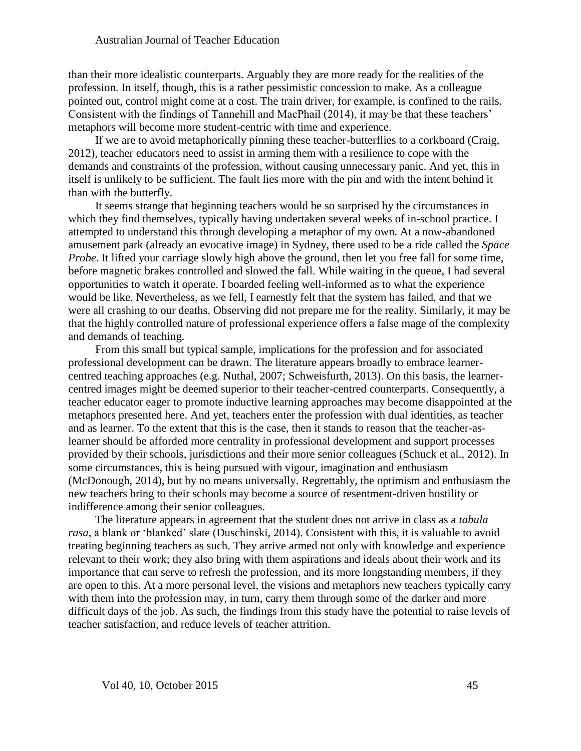than their more idealistic counterparts. Arguably they are more ready for the realities of the profession. In itself, though, this is a rather pessimistic concession to make. As a colleague pointed out, control might come at a cost. The train driver, for example, is confined to the rails. Consistent with the findings of Tannehill and MacPhail (2014), it may be that these teachers' metaphors will become more student-centric with time and experience.

If we are to avoid metaphorically pinning these teacher-butterflies to a corkboard (Craig, 2012), teacher educators need to assist in arming them with a resilience to cope with the demands and constraints of the profession, without causing unnecessary panic. And yet, this in itself is unlikely to be sufficient. The fault lies more with the pin and with the intent behind it than with the butterfly.

It seems strange that beginning teachers would be so surprised by the circumstances in which they find themselves, typically having undertaken several weeks of in-school practice. I attempted to understand this through developing a metaphor of my own. At a now-abandoned amusement park (already an evocative image) in Sydney, there used to be a ride called the *Space Probe*. It lifted your carriage slowly high above the ground, then let you free fall for some time, before magnetic brakes controlled and slowed the fall. While waiting in the queue, I had several opportunities to watch it operate. I boarded feeling well-informed as to what the experience would be like. Nevertheless, as we fell, I earnestly felt that the system has failed, and that we were all crashing to our deaths. Observing did not prepare me for the reality. Similarly, it may be that the highly controlled nature of professional experience offers a false mage of the complexity and demands of teaching.

From this small but typical sample, implications for the profession and for associated professional development can be drawn. The literature appears broadly to embrace learnercentred teaching approaches (e.g. Nuthal, 2007; Schweisfurth, 2013). On this basis, the learnercentred images might be deemed superior to their teacher-centred counterparts. Consequently, a teacher educator eager to promote inductive learning approaches may become disappointed at the metaphors presented here. And yet, teachers enter the profession with dual identities, as teacher and as learner. To the extent that this is the case, then it stands to reason that the teacher-aslearner should be afforded more centrality in professional development and support processes provided by their schools, jurisdictions and their more senior colleagues (Schuck et al., 2012). In some circumstances, this is being pursued with vigour, imagination and enthusiasm (McDonough, 2014), but by no means universally. Regrettably, the optimism and enthusiasm the new teachers bring to their schools may become a source of resentment-driven hostility or indifference among their senior colleagues.

The literature appears in agreement that the student does not arrive in class as a *tabula rasa*, a blank or 'blanked' slate (Duschinski, 2014). Consistent with this, it is valuable to avoid treating beginning teachers as such. They arrive armed not only with knowledge and experience relevant to their work; they also bring with them aspirations and ideals about their work and its importance that can serve to refresh the profession, and its more longstanding members, if they are open to this. At a more personal level, the visions and metaphors new teachers typically carry with them into the profession may, in turn, carry them through some of the darker and more difficult days of the job. As such, the findings from this study have the potential to raise levels of teacher satisfaction, and reduce levels of teacher attrition.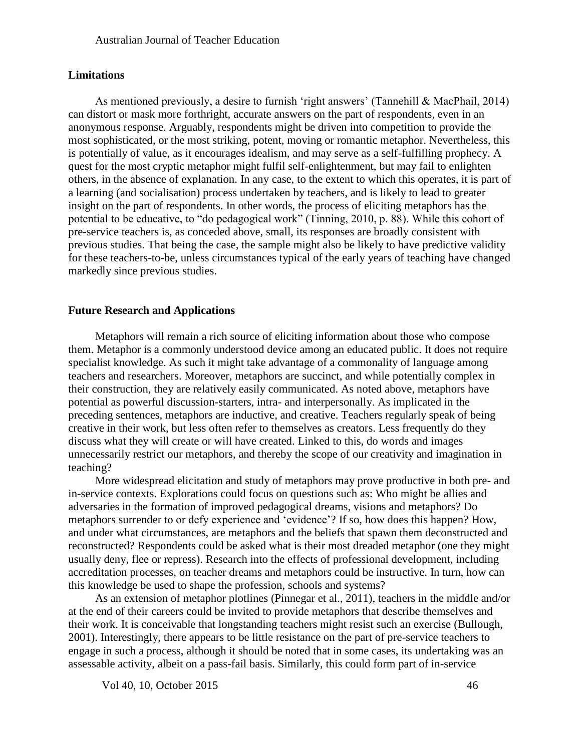#### **Limitations**

As mentioned previously, a desire to furnish 'right answers' (Tannehill & MacPhail, 2014) can distort or mask more forthright, accurate answers on the part of respondents, even in an anonymous response. Arguably, respondents might be driven into competition to provide the most sophisticated, or the most striking, potent, moving or romantic metaphor. Nevertheless, this is potentially of value, as it encourages idealism, and may serve as a self-fulfilling prophecy. A quest for the most cryptic metaphor might fulfil self-enlightenment, but may fail to enlighten others, in the absence of explanation. In any case, to the extent to which this operates, it is part of a learning (and socialisation) process undertaken by teachers, and is likely to lead to greater insight on the part of respondents. In other words, the process of eliciting metaphors has the potential to be educative, to "do pedagogical work" (Tinning, 2010, p. 88). While this cohort of pre-service teachers is, as conceded above, small, its responses are broadly consistent with previous studies. That being the case, the sample might also be likely to have predictive validity for these teachers-to-be, unless circumstances typical of the early years of teaching have changed markedly since previous studies.

#### **Future Research and Applications**

Metaphors will remain a rich source of eliciting information about those who compose them. Metaphor is a commonly understood device among an educated public. It does not require specialist knowledge. As such it might take advantage of a commonality of language among teachers and researchers. Moreover, metaphors are succinct, and while potentially complex in their construction, they are relatively easily communicated. As noted above, metaphors have potential as powerful discussion-starters, intra- and interpersonally. As implicated in the preceding sentences, metaphors are inductive, and creative. Teachers regularly speak of being creative in their work, but less often refer to themselves as creators. Less frequently do they discuss what they will create or will have created. Linked to this, do words and images unnecessarily restrict our metaphors, and thereby the scope of our creativity and imagination in teaching?

More widespread elicitation and study of metaphors may prove productive in both pre- and in-service contexts. Explorations could focus on questions such as: Who might be allies and adversaries in the formation of improved pedagogical dreams, visions and metaphors? Do metaphors surrender to or defy experience and 'evidence'? If so, how does this happen? How, and under what circumstances, are metaphors and the beliefs that spawn them deconstructed and reconstructed? Respondents could be asked what is their most dreaded metaphor (one they might usually deny, flee or repress). Research into the effects of professional development, including accreditation processes, on teacher dreams and metaphors could be instructive. In turn, how can this knowledge be used to shape the profession, schools and systems?

As an extension of metaphor plotlines (Pinnegar et al., 2011), teachers in the middle and/or at the end of their careers could be invited to provide metaphors that describe themselves and their work. It is conceivable that longstanding teachers might resist such an exercise (Bullough, 2001). Interestingly, there appears to be little resistance on the part of pre-service teachers to engage in such a process, although it should be noted that in some cases, its undertaking was an assessable activity, albeit on a pass-fail basis. Similarly, this could form part of in-service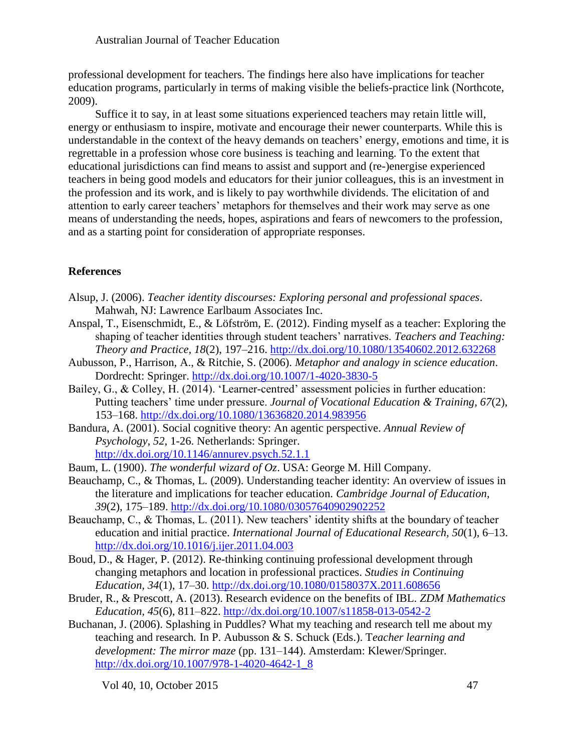professional development for teachers. The findings here also have implications for teacher education programs, particularly in terms of making visible the beliefs-practice link (Northcote, 2009).

Suffice it to say, in at least some situations experienced teachers may retain little will, energy or enthusiasm to inspire, motivate and encourage their newer counterparts. While this is understandable in the context of the heavy demands on teachers' energy, emotions and time, it is regrettable in a profession whose core business is teaching and learning. To the extent that educational jurisdictions can find means to assist and support and (re-)energise experienced teachers in being good models and educators for their junior colleagues, this is an investment in the profession and its work, and is likely to pay worthwhile dividends. The elicitation of and attention to early career teachers' metaphors for themselves and their work may serve as one means of understanding the needs, hopes, aspirations and fears of newcomers to the profession, and as a starting point for consideration of appropriate responses.

# **References**

- Alsup, J. (2006). *Teacher identity discourses: Exploring personal and professional spaces*. Mahwah, NJ: Lawrence Earlbaum Associates Inc.
- Anspal, T., Eisenschmidt, E., & Löfström, E. (2012). Finding myself as a teacher: Exploring the shaping of teacher identities through student teachers' narratives. *Teachers and Teaching: Theory and Practice, 18*(2), 197–216. <http://dx.doi.org/10.1080/13540602.2012.632268>
- Aubusson, P., Harrison, A., & Ritchie, S. (2006). *Metaphor and analogy in science education*. Dordrecht: Springer. <http://dx.doi.org/10.1007/1-4020-3830-5>
- Bailey, G., & Colley, H. (2014). 'Learner-centred' assessment policies in further education: Putting teachers' time under pressure. *Journal of Vocational Education & Training, 67*(2), 153–168.<http://dx.doi.org/10.1080/13636820.2014.983956>
- Bandura, A. (2001). Social cognitive theory: An agentic perspective. *Annual Review of Psychology, 52*, 1-26. Netherlands: Springer. <http://dx.doi.org/10.1146/annurev.psych.52.1.1>
- Baum, L. (1900). *The wonderful wizard of Oz*. USA: George M. Hill Company.
- Beauchamp, C., & Thomas, L. (2009). Understanding teacher identity: An overview of issues in the literature and implications for teacher education. *Cambridge Journal of Education, 39*(2), 175–189. <http://dx.doi.org/10.1080/03057640902902252>
- Beauchamp, C., & Thomas, L. (2011). New teachers' identity shifts at the boundary of teacher education and initial practice. *International Journal of Educational Research, 50*(1), 6–13. <http://dx.doi.org/10.1016/j.ijer.2011.04.003>
- Boud, D., & Hager, P. (2012). Re-thinking continuing professional development through changing metaphors and location in professional practices. *Studies in Continuing Education, 34*(1), 17–30.<http://dx.doi.org/10.1080/0158037X.2011.608656>
- Bruder, R., & Prescott, A. (2013). Research evidence on the benefits of IBL. *ZDM Mathematics Education, 45*(6), 811–822. <http://dx.doi.org/10.1007/s11858-013-0542-2>
- Buchanan, J. (2006). Splashing in Puddles? What my teaching and research tell me about my teaching and research*.* In P. Aubusson & S. Schuck (Eds.). T*eacher learning and development: The mirror maze* (pp. 131–144). Amsterdam: Klewer/Springer. [http://dx.doi.org/10.1007/978-1-4020-4642-1\\_8](http://dx.doi.org/10.1007/978-1-4020-4642-1_8)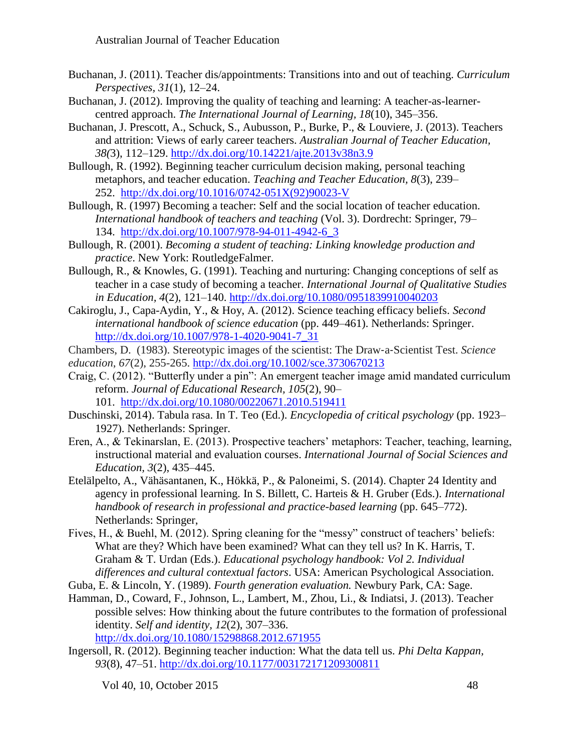- Buchanan, J. (2011). Teacher dis/appointments: Transitions into and out of teaching. *Curriculum Perspectives, 31*(1), 12–24.
- Buchanan, J. (2012). Improving the quality of teaching and learning: A teacher-as-learnercentred approach. *The International Journal of Learning, 18*(10), 345–356.
- Buchanan, J. Prescott, A., Schuck, S., Aubusson, P., Burke, P., & Louviere, J. (2013). Teachers and attrition: Views of early career teachers. *Australian Journal of Teacher Education, 38(*3), 112–129.<http://dx.doi.org/10.14221/ajte.2013v38n3.9>
- Bullough, R. (1992). Beginning teacher curriculum decision making, personal teaching metaphors, and teacher education. *Teaching and Teacher Education, 8*(3), 239– 252. [http://dx.doi.org/10.1016/0742-051X\(92\)90023-V](http://dx.doi.org/10.1016/0742-051X(92)90023-V)
- Bullough, R. (1997) Becoming a teacher: Self and the social location of teacher education. *International handbook of teachers and teaching* (Vol. 3). Dordrecht: Springer, 79– 134. [http://dx.doi.org/10.1007/978-94-011-4942-6\\_3](http://dx.doi.org/10.1007/978-94-011-4942-6_3)
- Bullough, R. (2001). *Becoming a student of teaching: Linking knowledge production and practice*. New York: RoutledgeFalmer.
- Bullough, R., & Knowles, G. (1991). Teaching and nurturing: Changing conceptions of self as teacher in a case study of becoming a teacher. *International Journal of Qualitative Studies in Education, 4*(2), 121–140. <http://dx.doi.org/10.1080/0951839910040203>
- Cakiroglu, J., Capa-Aydin, Y., & Hoy, A. (2012). Science teaching efficacy beliefs. *Second international handbook of science education* (pp. 449–461). Netherlands: Springer. [http://dx.doi.org/10.1007/978-1-4020-9041-7\\_31](http://dx.doi.org/10.1007/978-1-4020-9041-7_31)
- Chambers, D. (1983). Stereotypic images of the scientist: The Draw‐a‐Scientist Test. *Science education*, *67*(2), 255-265. <http://dx.doi.org/10.1002/sce.3730670213>
- Craig, C. (2012). "Butterfly under a pin": An emergent teacher image amid mandated curriculum reform. *Journal of Educational Research, 105*(2), 90– 101. <http://dx.doi.org/10.1080/00220671.2010.519411>
- Duschinski, 2014). Tabula rasa. In T. Teo (Ed.). *Encyclopedia of critical psychology* (pp. 1923– 1927). Netherlands: Springer.
- Eren, A., & Tekinarslan, E. (2013). Prospective teachers' metaphors: Teacher, teaching, learning, instructional material and evaluation courses. *International Journal of Social Sciences and Education, 3*(2), 435–445.
- Etelälpelto, A., Vähäsantanen, K., Hökkä, P., & Paloneimi, S. (2014). Chapter 24 Identity and agency in professional learning. In S. Billett, C. Harteis & H. Gruber (Eds.). *International handbook of research in professional and practice-based learning* (pp. 645–772). Netherlands: Springer,
- Fives, H., & Buehl, M. (2012). Spring cleaning for the "messy" construct of teachers' beliefs: What are they? Which have been examined? What can they tell us? In K. Harris, T. Graham & T. Urdan (Eds.). *Educational psychology handbook: Vol 2. Individual differences and cultural contextual factors*. USA: American Psychological Association.
- Guba, E. & Lincoln, Y. (1989). *Fourth generation evaluation.* Newbury Park, CA: Sage.
- Hamman, D., Coward, F., Johnson, L., Lambert, M., Zhou, Li., & Indiatsi, J. (2013). Teacher possible selves: How thinking about the future contributes to the formation of professional identity. *Self and identity, 12*(2), 307–336.
	- <http://dx.doi.org/10.1080/15298868.2012.671955>
- Ingersoll, R. (2012). Beginning teacher induction: What the data tell us. *Phi Delta Kappan, 93*(8), 47–51. <http://dx.doi.org/10.1177/003172171209300811>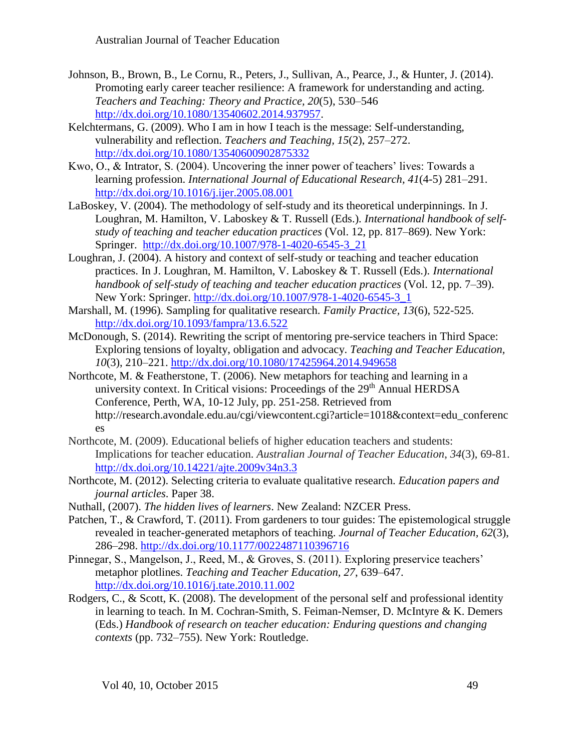- Johnson, B., Brown, B., Le Cornu, R., Peters, J., Sullivan, A., Pearce, J., & Hunter, J. (2014). Promoting early career teacher resilience: A framework for understanding and acting. *Teachers and Teaching: Theory and Practice, 20*(5), 530–546 [http://dx.doi.org/10.1080/13540602.2014.937957.](http://dx.doi.org/10.1080/13540602.2014.937957)
- Kelchtermans, G. (2009). Who I am in how I teach is the message: Self-understanding, vulnerability and reflection. *Teachers and Teaching, 15*(2), 257–272. <http://dx.doi.org/10.1080/13540600902875332>
- Kwo, O., & Intrator, S. (2004). Uncovering the inner power of teachers' lives: Towards a learning profession. *International Journal of Educational Research, 41*(4-5) 281–291. <http://dx.doi.org/10.1016/j.ijer.2005.08.001>
- LaBoskey, V. (2004). The methodology of self-study and its theoretical underpinnings. In J. Loughran, M. Hamilton, V. Laboskey & T. Russell (Eds.). *International handbook of selfstudy of teaching and teacher education practices* (Vol. 12, pp. 817–869). New York: Springer. [http://dx.doi.org/10.1007/978-1-4020-6545-3\\_21](http://dx.doi.org/10.1007/978-1-4020-6545-3_21)
- Loughran, J. (2004). A history and context of self-study or teaching and teacher education practices. In J. Loughran, M. Hamilton, V. Laboskey & T. Russell (Eds.). *International handbook of self-study of teaching and teacher education practices* (Vol. 12, pp. 7–39). New York: Springer. [http://dx.doi.org/10.1007/978-1-4020-6545-3\\_1](http://dx.doi.org/10.1007/978-1-4020-6545-3_1)
- Marshall, M. (1996). Sampling for qualitative research. *Family Practice, 13*(6), 522-525. <http://dx.doi.org/10.1093/fampra/13.6.522>
- McDonough, S. (2014). Rewriting the script of mentoring pre-service teachers in Third Space: Exploring tensions of loyalty, obligation and advocacy. *Teaching and Teacher Education, 10*(3), 210–221. <http://dx.doi.org/10.1080/17425964.2014.949658>
- Northcote, M. & Featherstone, T. (2006). New metaphors for teaching and learning in a university context. In Critical visions: Proceedings of the  $29<sup>th</sup>$  Annual HERDSA Conference, Perth, WA, 10-12 July, pp. 251-258. Retrieved from http://research.avondale.edu.au/cgi/viewcontent.cgi?article=1018&context=edu\_conferenc es
- Northcote, M. (2009). Educational beliefs of higher education teachers and students: Implications for teacher education. *Australian Journal of Teacher Education*, *34*(3), 69-81. <http://dx.doi.org/10.14221/ajte.2009v34n3.3>
- Northcote, M. (2012). Selecting criteria to evaluate qualitative research. *Education papers and journal articles*. Paper 38.
- Nuthall, (2007). *The hidden lives of learners*. New Zealand: NZCER Press.
- Patchen, T., & Crawford, T. (2011). From gardeners to tour guides: The epistemological struggle revealed in teacher-generated metaphors of teaching. *Journal of Teacher Education, 62*(3), 286–298.<http://dx.doi.org/10.1177/0022487110396716>
- Pinnegar, S., Mangelson, J., Reed, M., & Groves, S. (2011). Exploring preservice teachers' metaphor plotlines. *Teaching and Teacher Education, 27*, 639–647. <http://dx.doi.org/10.1016/j.tate.2010.11.002>
- Rodgers, C., & Scott, K. (2008). The development of the personal self and professional identity in learning to teach. In M. Cochran-Smith, S. Feiman-Nemser, D. McIntyre & K. Demers (Eds.) *Handbook of research on teacher education: Enduring questions and changing contexts* (pp. 732–755). New York: Routledge.